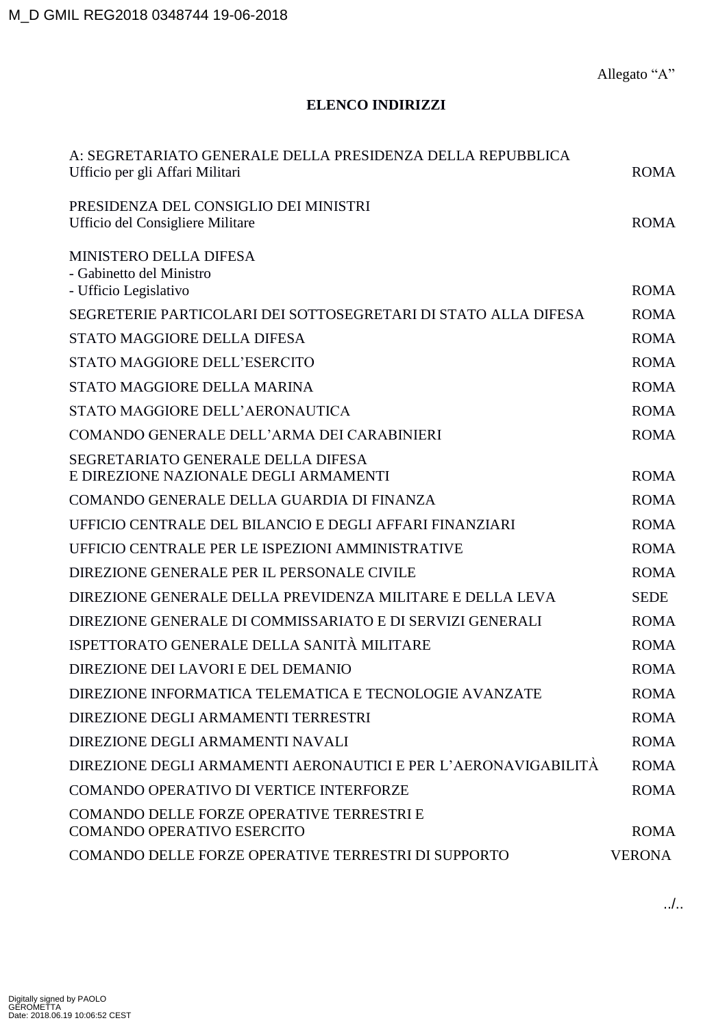Allegato "A"

## **ELENCO INDIRIZZI**

| A: SEGRETARIATO GENERALE DELLA PRESIDENZA DELLA REPUBBLICA<br>Ufficio per gli Affari Militari | <b>ROMA</b>   |
|-----------------------------------------------------------------------------------------------|---------------|
| PRESIDENZA DEL CONSIGLIO DEI MINISTRI<br>Ufficio del Consigliere Militare                     | <b>ROMA</b>   |
| <b>MINISTERO DELLA DIFESA</b><br>- Gabinetto del Ministro                                     |               |
| - Ufficio Legislativo                                                                         | <b>ROMA</b>   |
| SEGRETERIE PARTICOLARI DEI SOTTOSEGRETARI DI STATO ALLA DIFESA                                | <b>ROMA</b>   |
| STATO MAGGIORE DELLA DIFESA                                                                   | <b>ROMA</b>   |
| STATO MAGGIORE DELL'ESERCITO                                                                  | <b>ROMA</b>   |
| STATO MAGGIORE DELLA MARINA                                                                   | <b>ROMA</b>   |
| STATO MAGGIORE DELL'AERONAUTICA                                                               | <b>ROMA</b>   |
| COMANDO GENERALE DELL'ARMA DEI CARABINIERI                                                    | <b>ROMA</b>   |
| SEGRETARIATO GENERALE DELLA DIFESA<br>E DIREZIONE NAZIONALE DEGLI ARMAMENTI                   | <b>ROMA</b>   |
| COMANDO GENERALE DELLA GUARDIA DI FINANZA                                                     | <b>ROMA</b>   |
| UFFICIO CENTRALE DEL BILANCIO E DEGLI AFFARI FINANZIARI                                       | <b>ROMA</b>   |
| UFFICIO CENTRALE PER LE ISPEZIONI AMMINISTRATIVE                                              | <b>ROMA</b>   |
| DIREZIONE GENERALE PER IL PERSONALE CIVILE                                                    | <b>ROMA</b>   |
| DIREZIONE GENERALE DELLA PREVIDENZA MILITARE E DELLA LEVA                                     | <b>SEDE</b>   |
| DIREZIONE GENERALE DI COMMISSARIATO E DI SERVIZI GENERALI                                     | <b>ROMA</b>   |
| ISPETTORATO GENERALE DELLA SANITÀ MILITARE                                                    | <b>ROMA</b>   |
| DIREZIONE DEI LAVORI E DEL DEMANIO                                                            | <b>ROMA</b>   |
| DIREZIONE INFORMATICA TELEMATICA E TECNOLOGIE AVANZATE                                        | <b>ROMA</b>   |
| DIREZIONE DEGLI ARMAMENTI TERRESTRI                                                           | <b>ROMA</b>   |
| DIREZIONE DEGLI ARMAMENTI NAVALI                                                              | <b>ROMA</b>   |
| DIREZIONE DEGLI ARMAMENTI AERONAUTICI E PER L'AERONAVIGABILITÀ                                | <b>ROMA</b>   |
| <b>COMANDO OPERATIVO DI VERTICE INTERFORZE</b>                                                | <b>ROMA</b>   |
| COMANDO DELLE FORZE OPERATIVE TERRESTRI E<br><b>COMANDO OPERATIVO ESERCITO</b>                | <b>ROMA</b>   |
| COMANDO DELLE FORZE OPERATIVE TERRESTRI DI SUPPORTO                                           | <b>VERONA</b> |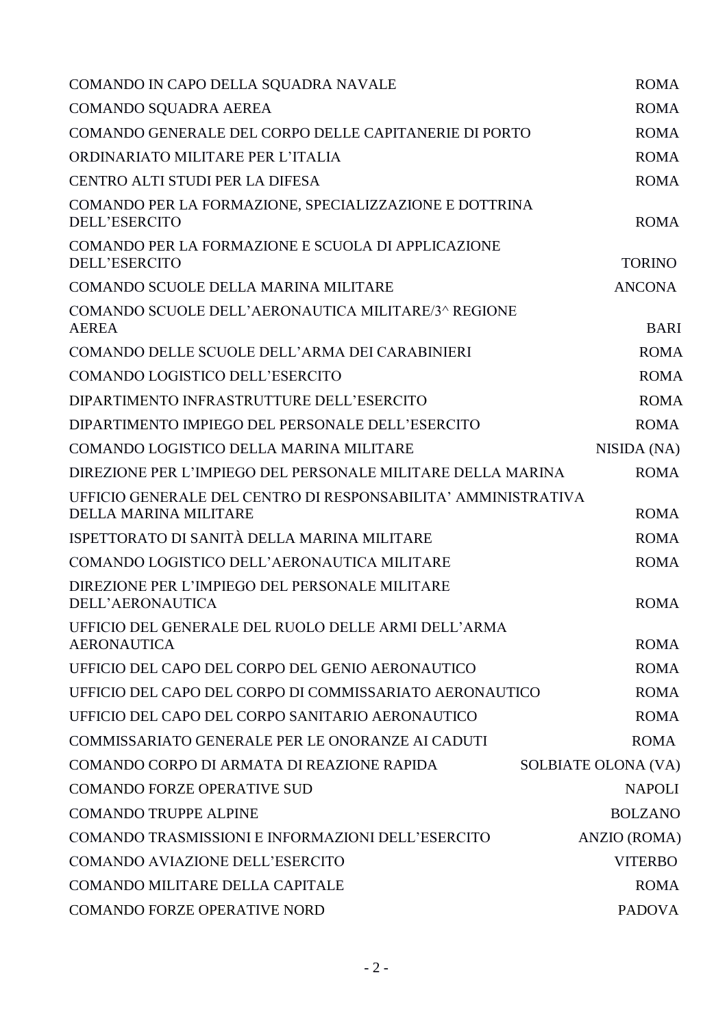| COMANDO IN CAPO DELLA SQUADRA NAVALE                                                   | <b>ROMA</b>         |
|----------------------------------------------------------------------------------------|---------------------|
| <b>COMANDO SQUADRA AEREA</b>                                                           | <b>ROMA</b>         |
| COMANDO GENERALE DEL CORPO DELLE CAPITANERIE DI PORTO                                  | <b>ROMA</b>         |
| ORDINARIATO MILITARE PER L'ITALIA                                                      | <b>ROMA</b>         |
| <b>CENTRO ALTI STUDI PER LA DIFESA</b>                                                 | <b>ROMA</b>         |
| COMANDO PER LA FORMAZIONE, SPECIALIZZAZIONE E DOTTRINA<br><b>DELL'ESERCITO</b>         | <b>ROMA</b>         |
| COMANDO PER LA FORMAZIONE E SCUOLA DI APPLICAZIONE<br><b>DELL'ESERCITO</b>             | <b>TORINO</b>       |
| COMANDO SCUOLE DELLA MARINA MILITARE                                                   | <b>ANCONA</b>       |
| COMANDO SCUOLE DELL'AERONAUTICA MILITARE/3^ REGIONE<br><b>AEREA</b>                    | <b>BARI</b>         |
| COMANDO DELLE SCUOLE DELL'ARMA DEI CARABINIERI                                         | <b>ROMA</b>         |
| COMANDO LOGISTICO DELL'ESERCITO                                                        | <b>ROMA</b>         |
| DIPARTIMENTO INFRASTRUTTURE DELL'ESERCITO                                              | <b>ROMA</b>         |
| DIPARTIMENTO IMPIEGO DEL PERSONALE DELL'ESERCITO                                       | <b>ROMA</b>         |
| COMANDO LOGISTICO DELLA MARINA MILITARE                                                | NISIDA (NA)         |
| DIREZIONE PER L'IMPIEGO DEL PERSONALE MILITARE DELLA MARINA                            | <b>ROMA</b>         |
| UFFICIO GENERALE DEL CENTRO DI RESPONSABILITA' AMMINISTRATIVA<br>DELLA MARINA MILITARE | <b>ROMA</b>         |
| ISPETTORATO DI SANITÀ DELLA MARINA MILITARE                                            | <b>ROMA</b>         |
| COMANDO LOGISTICO DELL'AERONAUTICA MILITARE                                            | <b>ROMA</b>         |
| DIREZIONE PER L'IMPIEGO DEL PERSONALE MILITARE<br><b>DELL'AERONAUTICA</b>              | <b>ROMA</b>         |
| UFFICIO DEL GENERALE DEL RUOLO DELLE ARMI DELL'ARMA<br><b>AERONAUTICA</b>              | <b>ROMA</b>         |
| UFFICIO DEL CAPO DEL CORPO DEL GENIO AERONAUTICO                                       | <b>ROMA</b>         |
| UFFICIO DEL CAPO DEL CORPO DI COMMISSARIATO AERONAUTICO                                | <b>ROMA</b>         |
| UFFICIO DEL CAPO DEL CORPO SANITARIO AERONAUTICO                                       | <b>ROMA</b>         |
| COMMISSARIATO GENERALE PER LE ONORANZE AI CADUTI                                       | <b>ROMA</b>         |
| COMANDO CORPO DI ARMATA DI REAZIONE RAPIDA                                             | SOLBIATE OLONA (VA) |
| <b>COMANDO FORZE OPERATIVE SUD</b>                                                     | <b>NAPOLI</b>       |
| <b>COMANDO TRUPPE ALPINE</b>                                                           | <b>BOLZANO</b>      |
| COMANDO TRASMISSIONI E INFORMAZIONI DELL'ESERCITO                                      | ANZIO (ROMA)        |
| COMANDO AVIAZIONE DELL'ESERCITO                                                        | <b>VITERBO</b>      |
| <b>COMANDO MILITARE DELLA CAPITALE</b>                                                 | <b>ROMA</b>         |
| <b>COMANDO FORZE OPERATIVE NORD</b>                                                    | <b>PADOVA</b>       |